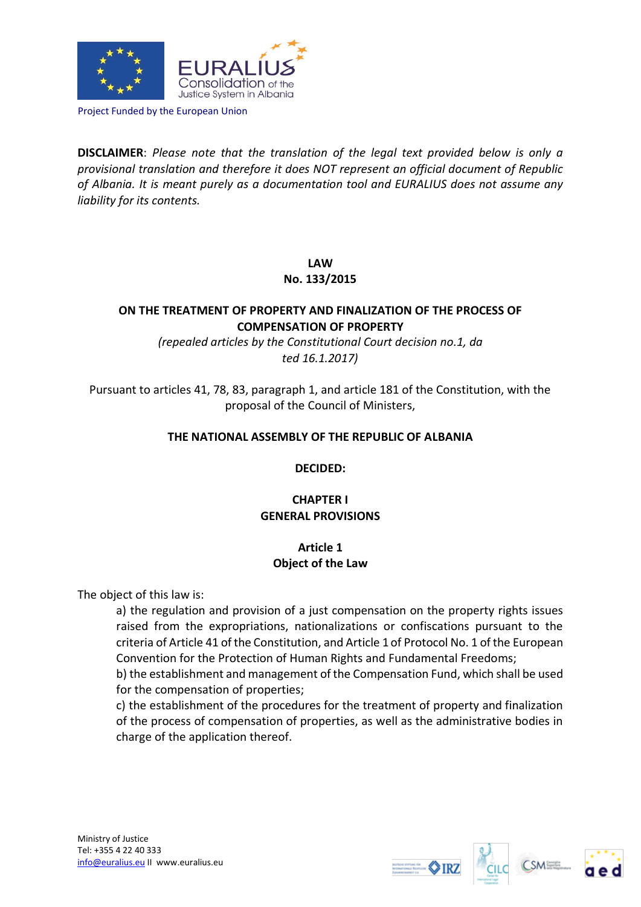

Project Funded by the European Union

**DISCLAIMER**: *Please note that the translation of the legal text provided below is only a provisional translation and therefore it does NOT represent an official document of Republic of Albania. It is meant purely as a documentation tool and EURALIUS does not assume any liability for its contents.*

**LAW** 

### **No. 133/2015**

# **ON THE TREATMENT OF PROPERTY AND FINALIZATION OF THE PROCESS OF COMPENSATION OF PROPERTY**

*(repealed articles by the Constitutional Court decision no.1, da ted 16.1.2017)*

Pursuant to articles 41, 78, 83, paragraph 1, and article 181 of the Constitution, with the proposal of the Council of Ministers,

#### **THE NATIONAL ASSEMBLY OF THE REPUBLIC OF ALBANIA**

**DECIDED:**

# **CHAPTER I GENERAL PROVISIONS**

# **Article 1 Object of the Law**

The object of this law is:

a) the regulation and provision of a just compensation on the property rights issues raised from the expropriations, nationalizations or confiscations pursuant to the criteria of Article 41 of the Constitution, and Article 1 of Protocol No. 1 of the European Convention for the Protection of Human Rights and Fundamental Freedoms;

b) the establishment and management of the Compensation Fund, which shall be used for the compensation of properties;

c) the establishment of the procedures for the treatment of property and finalization of the process of compensation of properties, as well as the administrative bodies in charge of the application thereof.







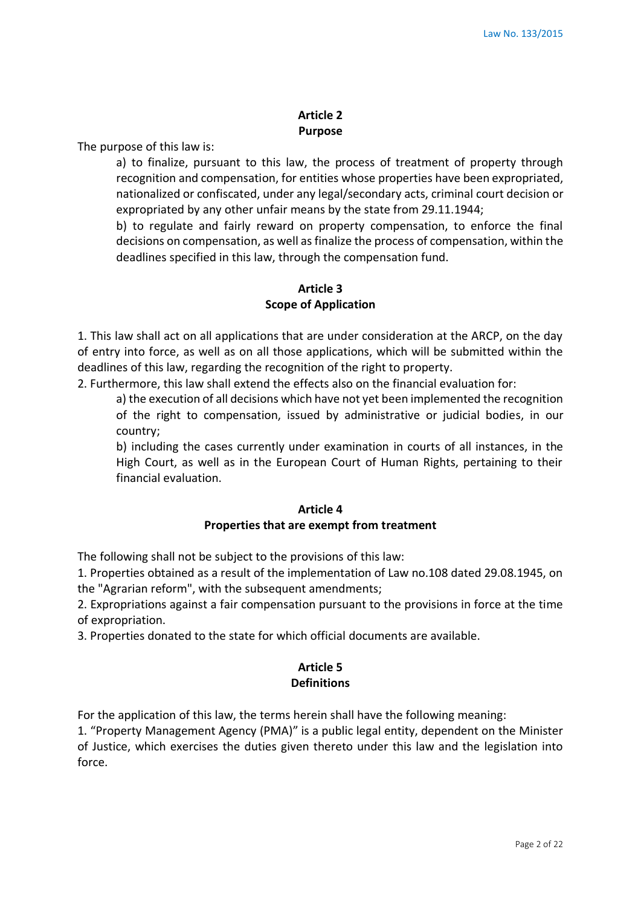### **Article 2 Purpose**

The purpose of this law is:

a) to finalize, pursuant to this law, the process of treatment of property through recognition and compensation, for entities whose properties have been expropriated, nationalized or confiscated, under any legal/secondary acts, criminal court decision or expropriated by any other unfair means by the state from 29.11.1944;

b) to regulate and fairly reward on property compensation, to enforce the final decisions on compensation, as well as finalize the process of compensation, within the deadlines specified in this law, through the compensation fund.

# **Article 3 Scope of Application**

1. This law shall act on all applications that are under consideration at the ARCP, on the day of entry into force, as well as on all those applications, which will be submitted within the deadlines of this law, regarding the recognition of the right to property.

2. Furthermore, this law shall extend the effects also on the financial evaluation for:

a) the execution of all decisions which have not yet been implemented the recognition of the right to compensation, issued by administrative or judicial bodies, in our country;

b) including the cases currently under examination in courts of all instances, in the High Court, as well as in the European Court of Human Rights, pertaining to their financial evaluation.

# **Article 4 Properties that are exempt from treatment**

The following shall not be subject to the provisions of this law:

1. Properties obtained as a result of the implementation of Law no.108 dated 29.08.1945, on the "Agrarian reform", with the subsequent amendments;

2. Expropriations against a fair compensation pursuant to the provisions in force at the time of expropriation.

3. Properties donated to the state for which official documents are available.

# **Article 5 Definitions**

For the application of this law, the terms herein shall have the following meaning:

1. "Property Management Agency (PMA)" is a public legal entity, dependent on the Minister of Justice, which exercises the duties given thereto under this law and the legislation into force.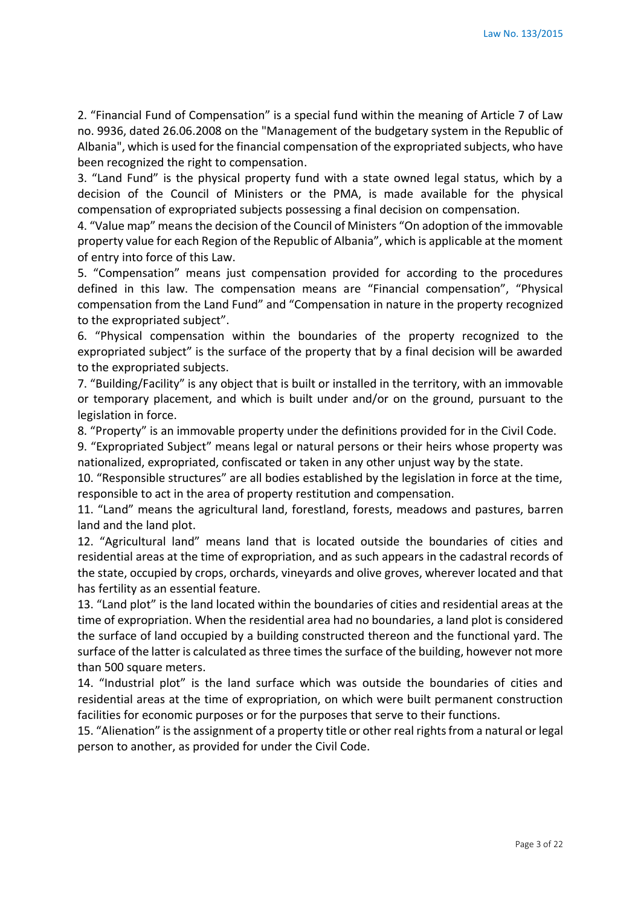2. "Financial Fund of Compensation" is a special fund within the meaning of Article 7 of Law no. 9936, dated 26.06.2008 on the "Management of the budgetary system in the Republic of Albania", which is used for the financial compensation of the expropriated subjects, who have been recognized the right to compensation.

3. "Land Fund" is the physical property fund with a state owned legal status, which by a decision of the Council of Ministers or the PMA, is made available for the physical compensation of expropriated subjects possessing a final decision on compensation.

4. "Value map" means the decision of the Council of Ministers "On adoption of the immovable property value for each Region of the Republic of Albania", which is applicable at the moment of entry into force of this Law.

5. "Compensation" means just compensation provided for according to the procedures defined in this law. The compensation means are "Financial compensation", "Physical compensation from the Land Fund" and "Compensation in nature in the property recognized to the expropriated subject".

6. "Physical compensation within the boundaries of the property recognized to the expropriated subject" is the surface of the property that by a final decision will be awarded to the expropriated subjects.

7. "Building/Facility" is any object that is built or installed in the territory, with an immovable or temporary placement, and which is built under and/or on the ground, pursuant to the legislation in force.

8. "Property" is an immovable property under the definitions provided for in the Civil Code.

9. "Expropriated Subject" means legal or natural persons or their heirs whose property was nationalized, expropriated, confiscated or taken in any other unjust way by the state.

10. "Responsible structures" are all bodies established by the legislation in force at the time, responsible to act in the area of property restitution and compensation.

11. "Land" means the agricultural land, forestland, forests, meadows and pastures, barren land and the land plot.

12. "Agricultural land" means land that is located outside the boundaries of cities and residential areas at the time of expropriation, and as such appears in the cadastral records of the state, occupied by crops, orchards, vineyards and olive groves, wherever located and that has fertility as an essential feature.

13. "Land plot" is the land located within the boundaries of cities and residential areas at the time of expropriation. When the residential area had no boundaries, a land plot is considered the surface of land occupied by a building constructed thereon and the functional yard. The surface of the latter is calculated as three times the surface of the building, however not more than 500 square meters.

14. "Industrial plot" is the land surface which was outside the boundaries of cities and residential areas at the time of expropriation, on which were built permanent construction facilities for economic purposes or for the purposes that serve to their functions.

15. "Alienation" is the assignment of a property title or other real rights from a natural or legal person to another, as provided for under the Civil Code.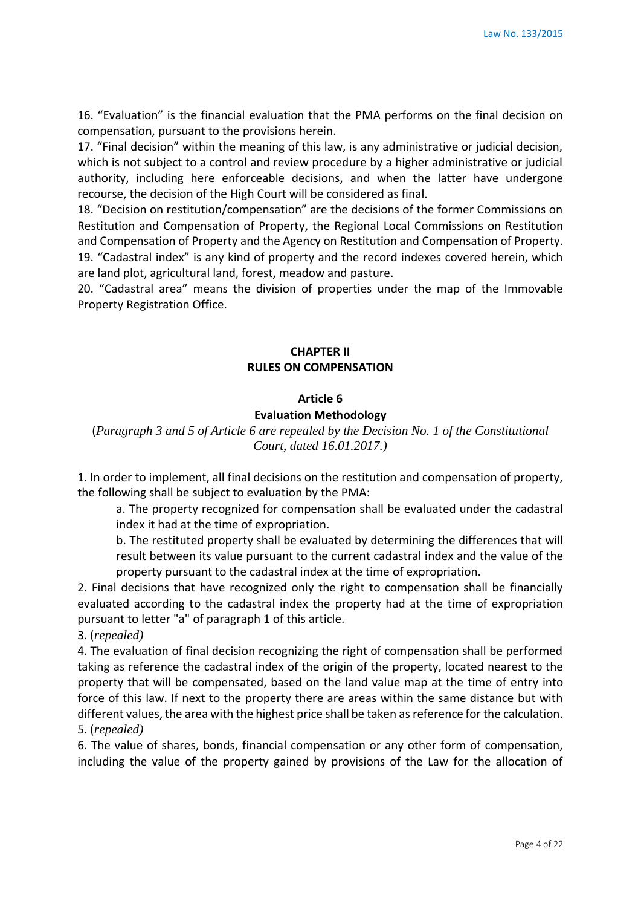16. "Evaluation" is the financial evaluation that the PMA performs on the final decision on compensation, pursuant to the provisions herein.

17. "Final decision" within the meaning of this law, is any administrative or judicial decision, which is not subject to a control and review procedure by a higher administrative or judicial authority, including here enforceable decisions, and when the latter have undergone recourse, the decision of the High Court will be considered as final.

18. "Decision on restitution/compensation" are the decisions of the former Commissions on Restitution and Compensation of Property, the Regional Local Commissions on Restitution and Compensation of Property and the Agency on Restitution and Compensation of Property. 19. "Cadastral index" is any kind of property and the record indexes covered herein, which are land plot, agricultural land, forest, meadow and pasture.

20. "Cadastral area" means the division of properties under the map of the Immovable Property Registration Office.

### **CHAPTER II RULES ON COMPENSATION**

#### **Article 6**

#### **Evaluation Methodology**

(*Paragraph 3 and 5 of Article 6 are repealed by the Decision No. 1 of the Constitutional Court, dated 16.01.2017.)*

1. In order to implement, all final decisions on the restitution and compensation of property, the following shall be subject to evaluation by the PMA:

a. The property recognized for compensation shall be evaluated under the cadastral index it had at the time of expropriation.

b. The restituted property shall be evaluated by determining the differences that will result between its value pursuant to the current cadastral index and the value of the property pursuant to the cadastral index at the time of expropriation.

2. Final decisions that have recognized only the right to compensation shall be financially evaluated according to the cadastral index the property had at the time of expropriation pursuant to letter "a" of paragraph 1 of this article.

3. (*repealed)*

4. The evaluation of final decision recognizing the right of compensation shall be performed taking as reference the cadastral index of the origin of the property, located nearest to the property that will be compensated, based on the land value map at the time of entry into force of this law. If next to the property there are areas within the same distance but with different values, the area with the highest price shall be taken as reference for the calculation. 5. (*repealed)*

6. The value of shares, bonds, financial compensation or any other form of compensation, including the value of the property gained by provisions of the Law for the allocation of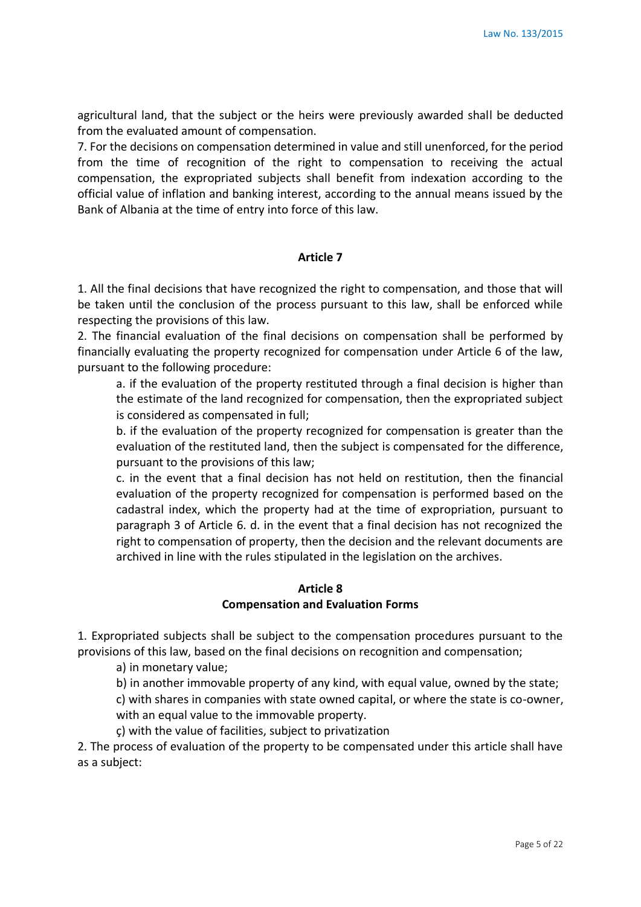agricultural land, that the subject or the heirs were previously awarded shall be deducted from the evaluated amount of compensation.

7. For the decisions on compensation determined in value and still unenforced, for the period from the time of recognition of the right to compensation to receiving the actual compensation, the expropriated subjects shall benefit from indexation according to the official value of inflation and banking interest, according to the annual means issued by the Bank of Albania at the time of entry into force of this law.

#### **Article 7**

1. All the final decisions that have recognized the right to compensation, and those that will be taken until the conclusion of the process pursuant to this law, shall be enforced while respecting the provisions of this law.

2. The financial evaluation of the final decisions on compensation shall be performed by financially evaluating the property recognized for compensation under Article 6 of the law, pursuant to the following procedure:

a. if the evaluation of the property restituted through a final decision is higher than the estimate of the land recognized for compensation, then the expropriated subject is considered as compensated in full;

b. if the evaluation of the property recognized for compensation is greater than the evaluation of the restituted land, then the subject is compensated for the difference, pursuant to the provisions of this law;

c. in the event that a final decision has not held on restitution, then the financial evaluation of the property recognized for compensation is performed based on the cadastral index, which the property had at the time of expropriation, pursuant to paragraph 3 of Article 6. d. in the event that a final decision has not recognized the right to compensation of property, then the decision and the relevant documents are archived in line with the rules stipulated in the legislation on the archives.

#### **Article 8 Compensation and Evaluation Forms**

1. Expropriated subjects shall be subject to the compensation procedures pursuant to the provisions of this law, based on the final decisions on recognition and compensation;

a) in monetary value;

b) in another immovable property of any kind, with equal value, owned by the state;

c) with shares in companies with state owned capital, or where the state is co-owner, with an equal value to the immovable property.

ç) with the value of facilities, subject to privatization

2. The process of evaluation of the property to be compensated under this article shall have as a subject: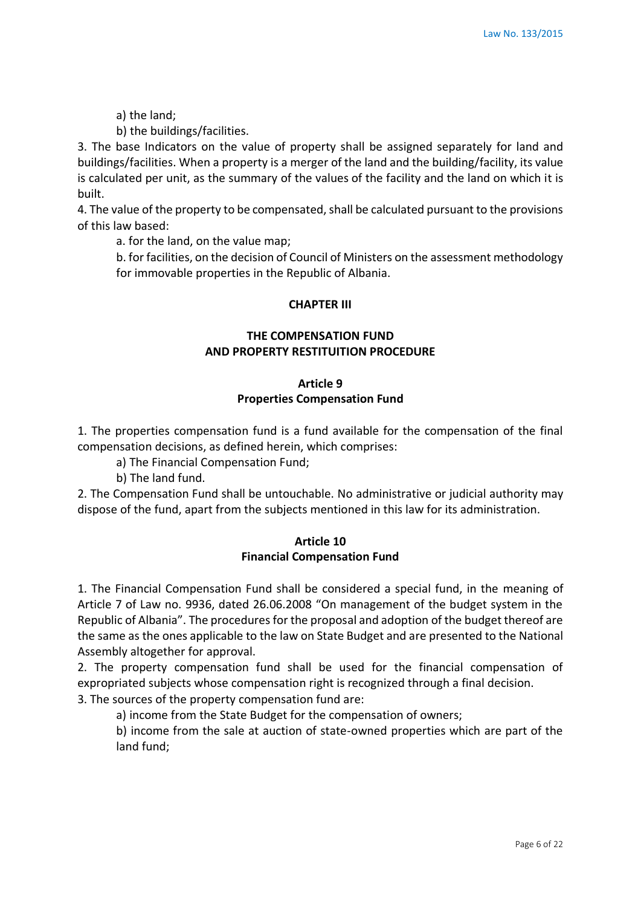a) the land;

b) the buildings/facilities.

3. The base Indicators on the value of property shall be assigned separately for land and buildings/facilities. When a property is a merger of the land and the building/facility, its value is calculated per unit, as the summary of the values of the facility and the land on which it is built.

4. The value of the property to be compensated, shall be calculated pursuant to the provisions of this law based:

a. for the land, on the value map;

b. for facilities, on the decision of Council of Ministers on the assessment methodology for immovable properties in the Republic of Albania.

#### **CHAPTER III**

# **THE COMPENSATION FUND AND PROPERTY RESTITUITION PROCEDURE**

### **Article 9 Properties Compensation Fund**

1. The properties compensation fund is a fund available for the compensation of the final compensation decisions, as defined herein, which comprises:

- a) The Financial Compensation Fund;
- b) The land fund.

2. The Compensation Fund shall be untouchable. No administrative or judicial authority may dispose of the fund, apart from the subjects mentioned in this law for its administration.

### **Article 10 Financial Compensation Fund**

1. The Financial Compensation Fund shall be considered a special fund, in the meaning of Article 7 of Law no. 9936, dated 26.06.2008 "On management of the budget system in the Republic of Albania". The procedures for the proposal and adoption of the budget thereof are the same as the ones applicable to the law on State Budget and are presented to the National Assembly altogether for approval.

2. The property compensation fund shall be used for the financial compensation of expropriated subjects whose compensation right is recognized through a final decision.

3. The sources of the property compensation fund are:

a) income from the State Budget for the compensation of owners;

b) income from the sale at auction of state-owned properties which are part of the land fund;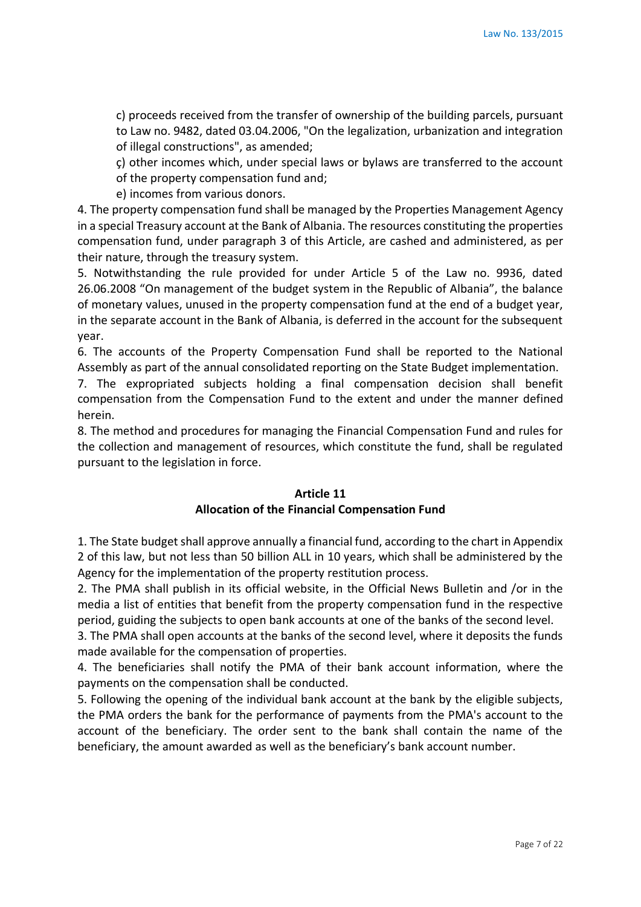c) proceeds received from the transfer of ownership of the building parcels, pursuant to Law no. 9482, dated 03.04.2006, "On the legalization, urbanization and integration of illegal constructions", as amended;

ç) other incomes which, under special laws or bylaws are transferred to the account of the property compensation fund and;

e) incomes from various donors.

4. The property compensation fund shall be managed by the Properties Management Agency in a special Treasury account at the Bank of Albania. The resources constituting the properties compensation fund, under paragraph 3 of this Article, are cashed and administered, as per their nature, through the treasury system.

5. Notwithstanding the rule provided for under Article 5 of the Law no. 9936, dated 26.06.2008 "On management of the budget system in the Republic of Albania", the balance of monetary values, unused in the property compensation fund at the end of a budget year, in the separate account in the Bank of Albania, is deferred in the account for the subsequent year.

6. The accounts of the Property Compensation Fund shall be reported to the National Assembly as part of the annual consolidated reporting on the State Budget implementation.

7. The expropriated subjects holding a final compensation decision shall benefit compensation from the Compensation Fund to the extent and under the manner defined herein.

8. The method and procedures for managing the Financial Compensation Fund and rules for the collection and management of resources, which constitute the fund, shall be regulated pursuant to the legislation in force.

#### **Article 11 Allocation of the Financial Compensation Fund**

1. The State budget shall approve annually a financial fund, according to the chart in Appendix 2 of this law, but not less than 50 billion ALL in 10 years, which shall be administered by the Agency for the implementation of the property restitution process.

2. The PMA shall publish in its official website, in the Official News Bulletin and /or in the media a list of entities that benefit from the property compensation fund in the respective period, guiding the subjects to open bank accounts at one of the banks of the second level.

3. The PMA shall open accounts at the banks of the second level, where it deposits the funds made available for the compensation of properties.

4. The beneficiaries shall notify the PMA of their bank account information, where the payments on the compensation shall be conducted.

5. Following the opening of the individual bank account at the bank by the eligible subjects, the PMA orders the bank for the performance of payments from the PMA's account to the account of the beneficiary. The order sent to the bank shall contain the name of the beneficiary, the amount awarded as well as the beneficiary's bank account number.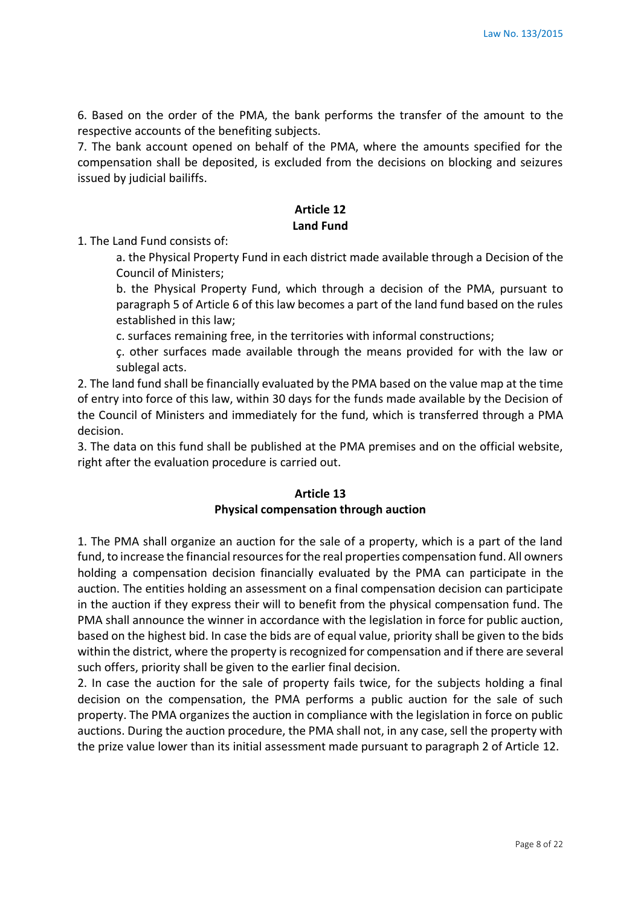6. Based on the order of the PMA, the bank performs the transfer of the amount to the respective accounts of the benefiting subjects.

7. The bank account opened on behalf of the PMA, where the amounts specified for the compensation shall be deposited, is excluded from the decisions on blocking and seizures issued by judicial bailiffs.

# **Article 12 Land Fund**

1. The Land Fund consists of:

a. the Physical Property Fund in each district made available through a Decision of the Council of Ministers;

b. the Physical Property Fund, which through a decision of the PMA, pursuant to paragraph 5 of Article 6 of this law becomes a part of the land fund based on the rules established in this law;

c. surfaces remaining free, in the territories with informal constructions;

ç. other surfaces made available through the means provided for with the law or sublegal acts.

2. The land fund shall be financially evaluated by the PMA based on the value map at the time of entry into force of this law, within 30 days for the funds made available by the Decision of the Council of Ministers and immediately for the fund, which is transferred through a PMA decision.

3. The data on this fund shall be published at the PMA premises and on the official website, right after the evaluation procedure is carried out.

### **Article 13 Physical compensation through auction**

1. The PMA shall organize an auction for the sale of a property, which is a part of the land fund, to increase the financial resources for the real properties compensation fund. All owners holding a compensation decision financially evaluated by the PMA can participate in the auction. The entities holding an assessment on a final compensation decision can participate in the auction if they express their will to benefit from the physical compensation fund. The PMA shall announce the winner in accordance with the legislation in force for public auction, based on the highest bid. In case the bids are of equal value, priority shall be given to the bids within the district, where the property is recognized for compensation and if there are several such offers, priority shall be given to the earlier final decision.

2. In case the auction for the sale of property fails twice, for the subjects holding a final decision on the compensation, the PMA performs a public auction for the sale of such property. The PMA organizes the auction in compliance with the legislation in force on public auctions. During the auction procedure, the PMA shall not, in any case, sell the property with the prize value lower than its initial assessment made pursuant to paragraph 2 of Article 12.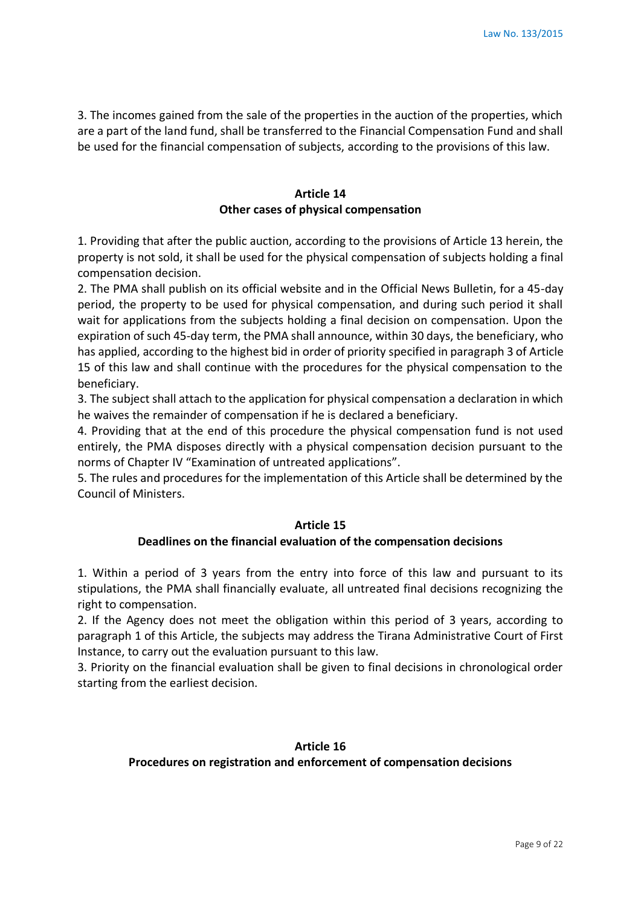3. The incomes gained from the sale of the properties in the auction of the properties, which are a part of the land fund, shall be transferred to the Financial Compensation Fund and shall be used for the financial compensation of subjects, according to the provisions of this law.

# **Article 14 Other cases of physical compensation**

1. Providing that after the public auction, according to the provisions of Article 13 herein, the property is not sold, it shall be used for the physical compensation of subjects holding a final compensation decision.

2. The PMA shall publish on its official website and in the Official News Bulletin, for a 45-day period, the property to be used for physical compensation, and during such period it shall wait for applications from the subjects holding a final decision on compensation. Upon the expiration of such 45-day term, the PMA shall announce, within 30 days, the beneficiary, who has applied, according to the highest bid in order of priority specified in paragraph 3 of Article 15 of this law and shall continue with the procedures for the physical compensation to the beneficiary.

3. The subject shall attach to the application for physical compensation a declaration in which he waives the remainder of compensation if he is declared a beneficiary.

4. Providing that at the end of this procedure the physical compensation fund is not used entirely, the PMA disposes directly with a physical compensation decision pursuant to the norms of Chapter IV "Examination of untreated applications".

5. The rules and procedures for the implementation of this Article shall be determined by the Council of Ministers.

#### **Article 15**

### **Deadlines on the financial evaluation of the compensation decisions**

1. Within a period of 3 years from the entry into force of this law and pursuant to its stipulations, the PMA shall financially evaluate, all untreated final decisions recognizing the right to compensation.

2. If the Agency does not meet the obligation within this period of 3 years, according to paragraph 1 of this Article, the subjects may address the Tirana Administrative Court of First Instance, to carry out the evaluation pursuant to this law.

3. Priority on the financial evaluation shall be given to final decisions in chronological order starting from the earliest decision.

#### **Article 16**

**Procedures on registration and enforcement of compensation decisions**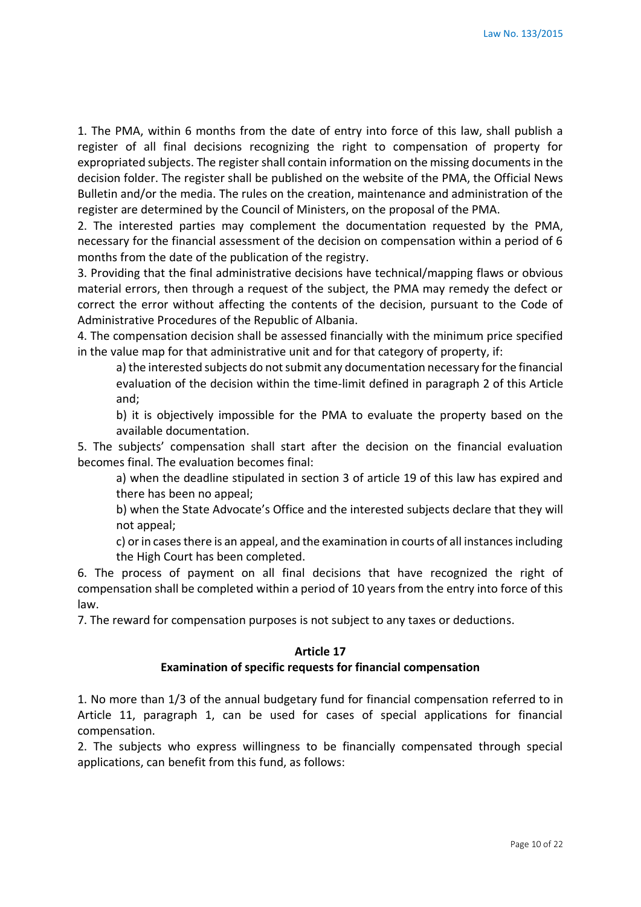1. The PMA, within 6 months from the date of entry into force of this law, shall publish a register of all final decisions recognizing the right to compensation of property for expropriated subjects. The register shall contain information on the missing documents in the decision folder. The register shall be published on the website of the PMA, the Official News Bulletin and/or the media. The rules on the creation, maintenance and administration of the register are determined by the Council of Ministers, on the proposal of the PMA.

2. The interested parties may complement the documentation requested by the PMA, necessary for the financial assessment of the decision on compensation within a period of 6 months from the date of the publication of the registry.

3. Providing that the final administrative decisions have technical/mapping flaws or obvious material errors, then through a request of the subject, the PMA may remedy the defect or correct the error without affecting the contents of the decision, pursuant to the Code of Administrative Procedures of the Republic of Albania.

4. The compensation decision shall be assessed financially with the minimum price specified in the value map for that administrative unit and for that category of property, if:

a) the interested subjects do not submit any documentation necessary for the financial evaluation of the decision within the time-limit defined in paragraph 2 of this Article and;

b) it is objectively impossible for the PMA to evaluate the property based on the available documentation.

5. The subjects' compensation shall start after the decision on the financial evaluation becomes final. The evaluation becomes final:

a) when the deadline stipulated in section 3 of article 19 of this law has expired and there has been no appeal;

b) when the State Advocate's Office and the interested subjects declare that they will not appeal;

c) or in cases there is an appeal, and the examination in courts of all instances including the High Court has been completed.

6. The process of payment on all final decisions that have recognized the right of compensation shall be completed within a period of 10 years from the entry into force of this law.

7. The reward for compensation purposes is not subject to any taxes or deductions.

#### **Article 17**

### **Examination of specific requests for financial compensation**

1. No more than 1/3 of the annual budgetary fund for financial compensation referred to in Article 11, paragraph 1, can be used for cases of special applications for financial compensation.

2. The subjects who express willingness to be financially compensated through special applications, can benefit from this fund, as follows: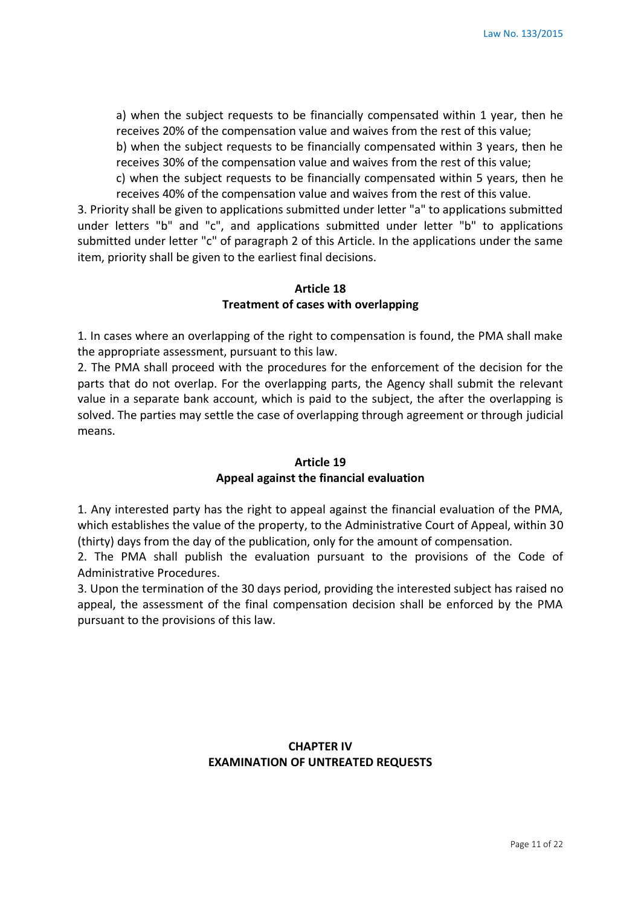a) when the subject requests to be financially compensated within 1 year, then he receives 20% of the compensation value and waives from the rest of this value;

b) when the subject requests to be financially compensated within 3 years, then he receives 30% of the compensation value and waives from the rest of this value;

c) when the subject requests to be financially compensated within 5 years, then he receives 40% of the compensation value and waives from the rest of this value.

3. Priority shall be given to applications submitted under letter "a" to applications submitted under letters "b" and "c", and applications submitted under letter "b" to applications submitted under letter "c" of paragraph 2 of this Article. In the applications under the same item, priority shall be given to the earliest final decisions.

#### **Article 18 Treatment of cases with overlapping**

1. In cases where an overlapping of the right to compensation is found, the PMA shall make the appropriate assessment, pursuant to this law.

2. The PMA shall proceed with the procedures for the enforcement of the decision for the parts that do not overlap. For the overlapping parts, the Agency shall submit the relevant value in a separate bank account, which is paid to the subject, the after the overlapping is solved. The parties may settle the case of overlapping through agreement or through judicial means.

#### **Article 19 Appeal against the financial evaluation**

1. Any interested party has the right to appeal against the financial evaluation of the PMA, which establishes the value of the property, to the Administrative Court of Appeal, within 30 (thirty) days from the day of the publication, only for the amount of compensation.

2. The PMA shall publish the evaluation pursuant to the provisions of the Code of Administrative Procedures.

3. Upon the termination of the 30 days period, providing the interested subject has raised no appeal, the assessment of the final compensation decision shall be enforced by the PMA pursuant to the provisions of this law.

# **CHAPTER IV EXAMINATION OF UNTREATED REQUESTS**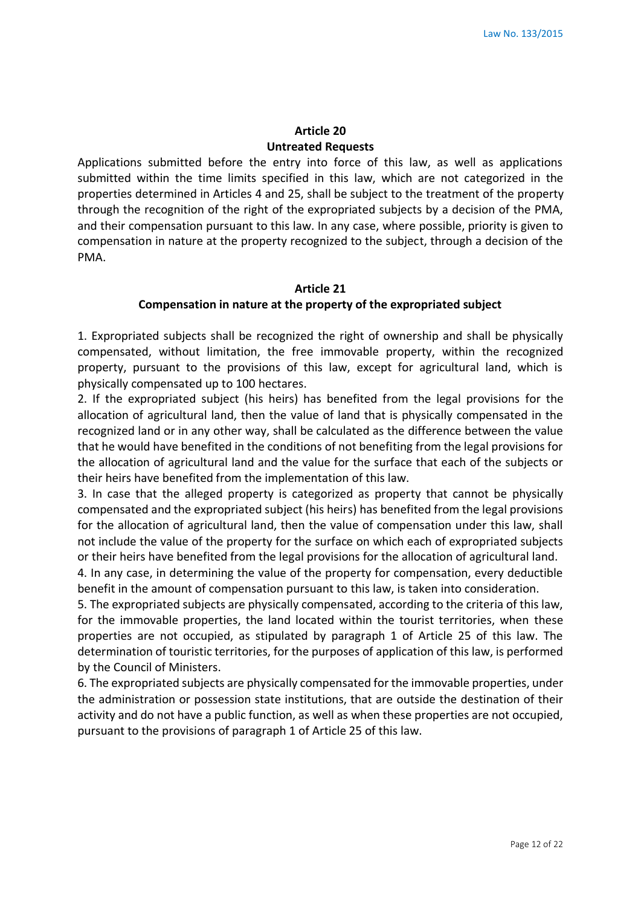# **Article 20 Untreated Requests**

Applications submitted before the entry into force of this law, as well as applications submitted within the time limits specified in this law, which are not categorized in the properties determined in Articles 4 and 25, shall be subject to the treatment of the property through the recognition of the right of the expropriated subjects by a decision of the PMA, and their compensation pursuant to this law. In any case, where possible, priority is given to compensation in nature at the property recognized to the subject, through a decision of the PMA.

# **Article 21 Compensation in nature at the property of the expropriated subject**

1. Expropriated subjects shall be recognized the right of ownership and shall be physically compensated, without limitation, the free immovable property, within the recognized property, pursuant to the provisions of this law, except for agricultural land, which is physically compensated up to 100 hectares.

2. If the expropriated subject (his heirs) has benefited from the legal provisions for the allocation of agricultural land, then the value of land that is physically compensated in the recognized land or in any other way, shall be calculated as the difference between the value that he would have benefited in the conditions of not benefiting from the legal provisions for the allocation of agricultural land and the value for the surface that each of the subjects or their heirs have benefited from the implementation of this law.

3. In case that the alleged property is categorized as property that cannot be physically compensated and the expropriated subject (his heirs) has benefited from the legal provisions for the allocation of agricultural land, then the value of compensation under this law, shall not include the value of the property for the surface on which each of expropriated subjects or their heirs have benefited from the legal provisions for the allocation of agricultural land.

4. In any case, in determining the value of the property for compensation, every deductible benefit in the amount of compensation pursuant to this law, is taken into consideration.

5. The expropriated subjects are physically compensated, according to the criteria of this law, for the immovable properties, the land located within the tourist territories, when these properties are not occupied, as stipulated by paragraph 1 of Article 25 of this law. The determination of touristic territories, for the purposes of application of this law, is performed by the Council of Ministers.

6. The expropriated subjects are physically compensated for the immovable properties, under the administration or possession state institutions, that are outside the destination of their activity and do not have a public function, as well as when these properties are not occupied, pursuant to the provisions of paragraph 1 of Article 25 of this law.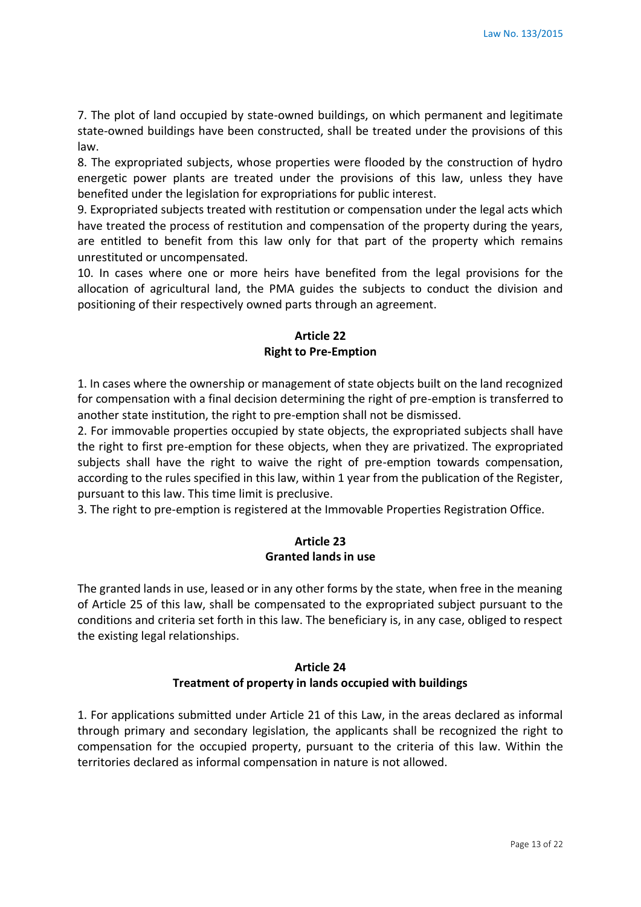7. The plot of land occupied by state-owned buildings, on which permanent and legitimate state-owned buildings have been constructed, shall be treated under the provisions of this law.

8. The expropriated subjects, whose properties were flooded by the construction of hydro energetic power plants are treated under the provisions of this law, unless they have benefited under the legislation for expropriations for public interest.

9. Expropriated subjects treated with restitution or compensation under the legal acts which have treated the process of restitution and compensation of the property during the years, are entitled to benefit from this law only for that part of the property which remains unrestituted or uncompensated.

10. In cases where one or more heirs have benefited from the legal provisions for the allocation of agricultural land, the PMA guides the subjects to conduct the division and positioning of their respectively owned parts through an agreement.

# **Article 22 Right to Pre-Emption**

1. In cases where the ownership or management of state objects built on the land recognized for compensation with a final decision determining the right of pre-emption is transferred to another state institution, the right to pre-emption shall not be dismissed.

2. For immovable properties occupied by state objects, the expropriated subjects shall have the right to first pre-emption for these objects, when they are privatized. The expropriated subjects shall have the right to waive the right of pre-emption towards compensation, according to the rules specified in this law, within 1 year from the publication of the Register, pursuant to this law. This time limit is preclusive.

3. The right to pre-emption is registered at the Immovable Properties Registration Office.

### **Article 23 Granted lands in use**

The granted lands in use, leased or in any other forms by the state, when free in the meaning of Article 25 of this law, shall be compensated to the expropriated subject pursuant to the conditions and criteria set forth in this law. The beneficiary is, in any case, obliged to respect the existing legal relationships.

# **Article 24 Treatment of property in lands occupied with buildings**

1. For applications submitted under Article 21 of this Law, in the areas declared as informal through primary and secondary legislation, the applicants shall be recognized the right to compensation for the occupied property, pursuant to the criteria of this law. Within the territories declared as informal compensation in nature is not allowed.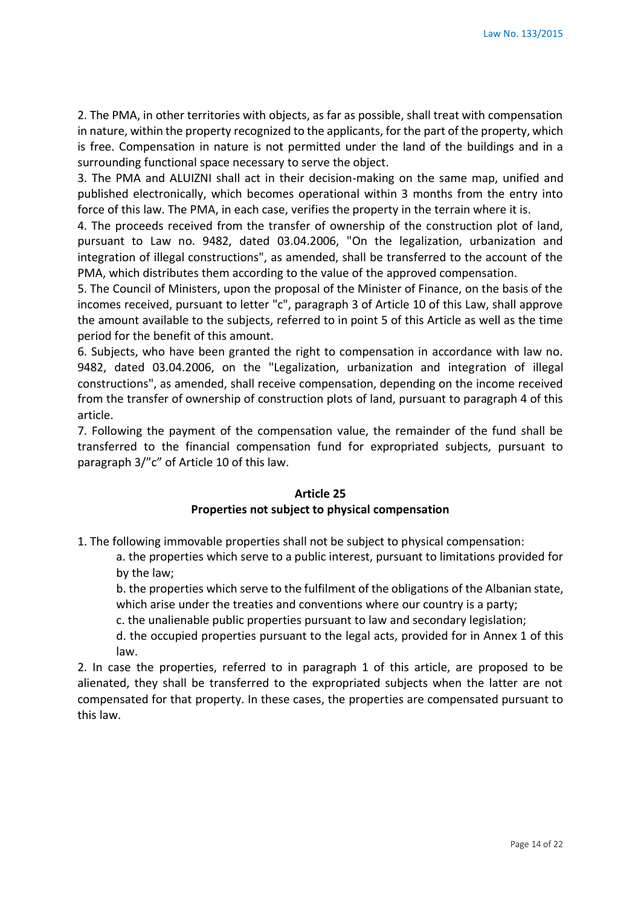2. The PMA, in other territories with objects, as far as possible, shall treat with compensation in nature, within the property recognized to the applicants, for the part of the property, which is free. Compensation in nature is not permitted under the land of the buildings and in a surrounding functional space necessary to serve the object.

3. The PMA and ALUIZNI shall act in their decision-making on the same map, unified and published electronically, which becomes operational within 3 months from the entry into force of this law. The PMA, in each case, verifies the property in the terrain where it is.

4. The proceeds received from the transfer of ownership of the construction plot of land, pursuant to Law no. 9482, dated 03.04.2006, "On the legalization, urbanization and integration of illegal constructions", as amended, shall be transferred to the account of the PMA, which distributes them according to the value of the approved compensation.

5. The Council of Ministers, upon the proposal of the Minister of Finance, on the basis of the incomes received, pursuant to letter "c", paragraph 3 of Article 10 of this Law, shall approve the amount available to the subjects, referred to in point 5 of this Article as well as the time period for the benefit of this amount.

6. Subjects, who have been granted the right to compensation in accordance with law no. 9482, dated 03.04.2006, on the "Legalization, urbanization and integration of illegal constructions", as amended, shall receive compensation, depending on the income received from the transfer of ownership of construction plots of land, pursuant to paragraph 4 of this article.

7. Following the payment of the compensation value, the remainder of the fund shall be transferred to the financial compensation fund for expropriated subjects, pursuant to paragraph 3/"c" of Article 10 of this law.

### **Article 25 Properties not subject to physical compensation**

1. The following immovable properties shall not be subject to physical compensation:

a. the properties which serve to a public interest, pursuant to limitations provided for by the law;

b. the properties which serve to the fulfilment of the obligations of the Albanian state, which arise under the treaties and conventions where our country is a party;

c. the unalienable public properties pursuant to law and secondary legislation;

d. the occupied properties pursuant to the legal acts, provided for in Annex 1 of this law.

2. In case the properties, referred to in paragraph 1 of this article, are proposed to be alienated, they shall be transferred to the expropriated subjects when the latter are not compensated for that property. In these cases, the properties are compensated pursuant to this law.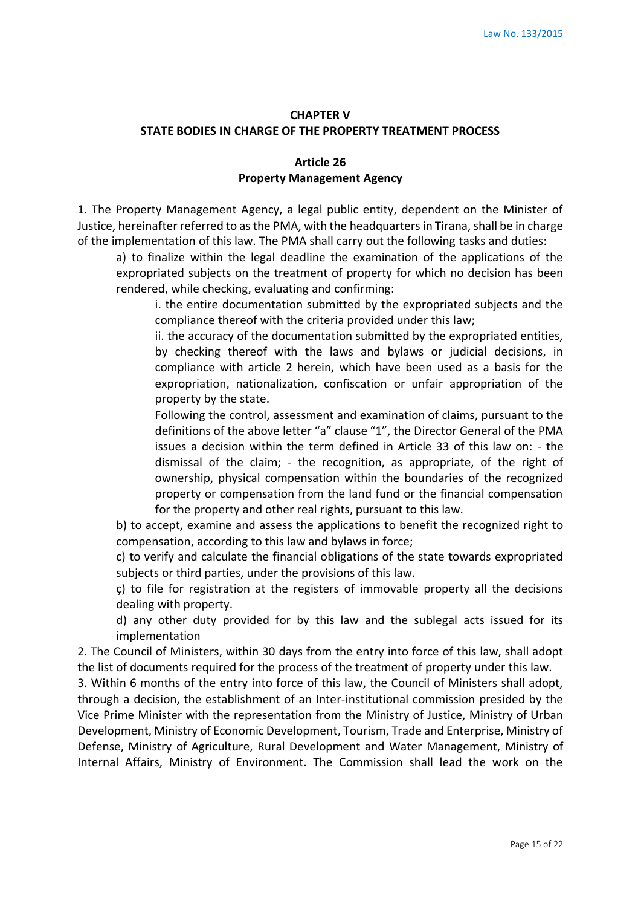### **CHAPTER V STATE BODIES IN CHARGE OF THE PROPERTY TREATMENT PROCESS**

# **Article 26 Property Management Agency**

1. The Property Management Agency, a legal public entity, dependent on the Minister of Justice, hereinafter referred to as the PMA, with the headquarters in Tirana, shall be in charge of the implementation of this law. The PMA shall carry out the following tasks and duties:

a) to finalize within the legal deadline the examination of the applications of the expropriated subjects on the treatment of property for which no decision has been rendered, while checking, evaluating and confirming:

i. the entire documentation submitted by the expropriated subjects and the compliance thereof with the criteria provided under this law;

ii. the accuracy of the documentation submitted by the expropriated entities, by checking thereof with the laws and bylaws or judicial decisions, in compliance with article 2 herein, which have been used as a basis for the expropriation, nationalization, confiscation or unfair appropriation of the property by the state.

Following the control, assessment and examination of claims, pursuant to the definitions of the above letter "a" clause "1", the Director General of the PMA issues a decision within the term defined in Article 33 of this law on: - the dismissal of the claim; - the recognition, as appropriate, of the right of ownership, physical compensation within the boundaries of the recognized property or compensation from the land fund or the financial compensation for the property and other real rights, pursuant to this law.

b) to accept, examine and assess the applications to benefit the recognized right to compensation, according to this law and bylaws in force;

c) to verify and calculate the financial obligations of the state towards expropriated subjects or third parties, under the provisions of this law.

ç) to file for registration at the registers of immovable property all the decisions dealing with property.

d) any other duty provided for by this law and the sublegal acts issued for its implementation

2. The Council of Ministers, within 30 days from the entry into force of this law, shall adopt the list of documents required for the process of the treatment of property under this law.

3. Within 6 months of the entry into force of this law, the Council of Ministers shall adopt, through a decision, the establishment of an Inter-institutional commission presided by the Vice Prime Minister with the representation from the Ministry of Justice, Ministry of Urban Development, Ministry of Economic Development, Tourism, Trade and Enterprise, Ministry of Defense, Ministry of Agriculture, Rural Development and Water Management, Ministry of Internal Affairs, Ministry of Environment. The Commission shall lead the work on the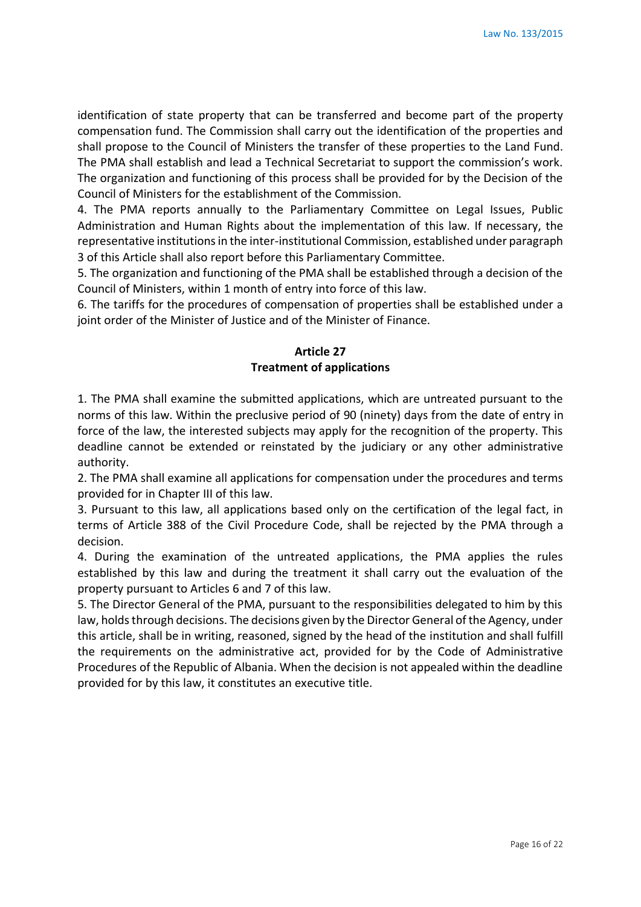identification of state property that can be transferred and become part of the property compensation fund. The Commission shall carry out the identification of the properties and shall propose to the Council of Ministers the transfer of these properties to the Land Fund. The PMA shall establish and lead a Technical Secretariat to support the commission's work. The organization and functioning of this process shall be provided for by the Decision of the Council of Ministers for the establishment of the Commission.

4. The PMA reports annually to the Parliamentary Committee on Legal Issues, Public Administration and Human Rights about the implementation of this law. If necessary, the representative institutions in the inter-institutional Commission, established under paragraph 3 of this Article shall also report before this Parliamentary Committee.

5. The organization and functioning of the PMA shall be established through a decision of the Council of Ministers, within 1 month of entry into force of this law.

6. The tariffs for the procedures of compensation of properties shall be established under a joint order of the Minister of Justice and of the Minister of Finance.

# **Article 27 Treatment of applications**

1. The PMA shall examine the submitted applications, which are untreated pursuant to the norms of this law. Within the preclusive period of 90 (ninety) days from the date of entry in force of the law, the interested subjects may apply for the recognition of the property. This deadline cannot be extended or reinstated by the judiciary or any other administrative authority.

2. The PMA shall examine all applications for compensation under the procedures and terms provided for in Chapter III of this law.

3. Pursuant to this law, all applications based only on the certification of the legal fact, in terms of Article 388 of the Civil Procedure Code, shall be rejected by the PMA through a decision.

4. During the examination of the untreated applications, the PMA applies the rules established by this law and during the treatment it shall carry out the evaluation of the property pursuant to Articles 6 and 7 of this law.

5. The Director General of the PMA, pursuant to the responsibilities delegated to him by this law, holds through decisions. The decisions given by the Director General of the Agency, under this article, shall be in writing, reasoned, signed by the head of the institution and shall fulfill the requirements on the administrative act, provided for by the Code of Administrative Procedures of the Republic of Albania. When the decision is not appealed within the deadline provided for by this law, it constitutes an executive title.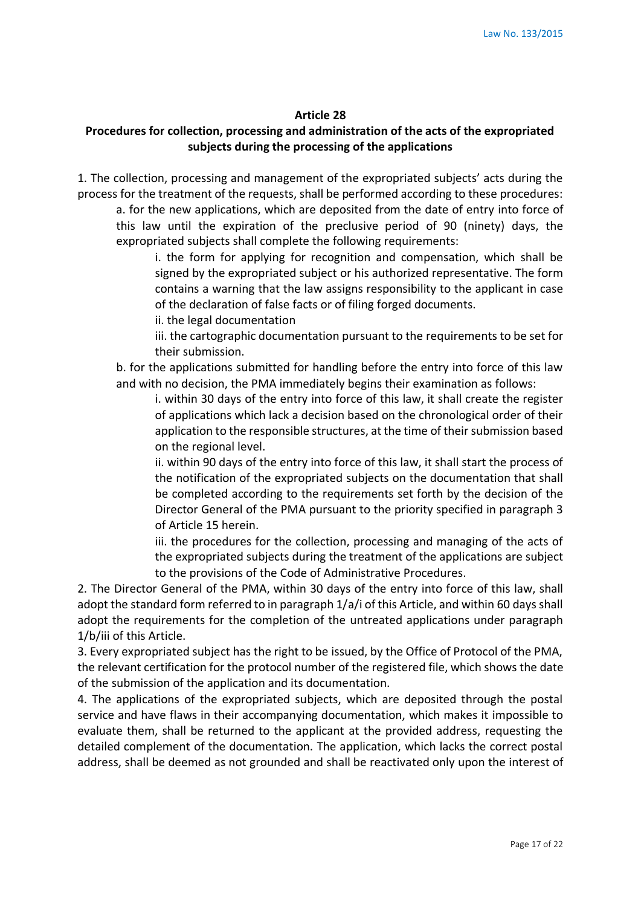#### **Article 28**

# **Procedures for collection, processing and administration of the acts of the expropriated subjects during the processing of the applications**

1. The collection, processing and management of the expropriated subjects' acts during the process for the treatment of the requests, shall be performed according to these procedures: a. for the new applications, which are deposited from the date of entry into force of

this law until the expiration of the preclusive period of 90 (ninety) days, the expropriated subjects shall complete the following requirements:

i. the form for applying for recognition and compensation, which shall be signed by the expropriated subject or his authorized representative. The form contains a warning that the law assigns responsibility to the applicant in case of the declaration of false facts or of filing forged documents.

ii. the legal documentation

iii. the cartographic documentation pursuant to the requirements to be set for their submission.

b. for the applications submitted for handling before the entry into force of this law and with no decision, the PMA immediately begins their examination as follows:

i. within 30 days of the entry into force of this law, it shall create the register of applications which lack a decision based on the chronological order of their application to the responsible structures, at the time of their submission based on the regional level.

ii. within 90 days of the entry into force of this law, it shall start the process of the notification of the expropriated subjects on the documentation that shall be completed according to the requirements set forth by the decision of the Director General of the PMA pursuant to the priority specified in paragraph 3 of Article 15 herein.

iii. the procedures for the collection, processing and managing of the acts of the expropriated subjects during the treatment of the applications are subject to the provisions of the Code of Administrative Procedures.

2. The Director General of the PMA, within 30 days of the entry into force of this law, shall adopt the standard form referred to in paragraph 1/a/i of this Article, and within 60 days shall adopt the requirements for the completion of the untreated applications under paragraph 1/b/iii of this Article.

3. Every expropriated subject has the right to be issued, by the Office of Protocol of the PMA, the relevant certification for the protocol number of the registered file, which shows the date of the submission of the application and its documentation.

4. The applications of the expropriated subjects, which are deposited through the postal service and have flaws in their accompanying documentation, which makes it impossible to evaluate them, shall be returned to the applicant at the provided address, requesting the detailed complement of the documentation. The application, which lacks the correct postal address, shall be deemed as not grounded and shall be reactivated only upon the interest of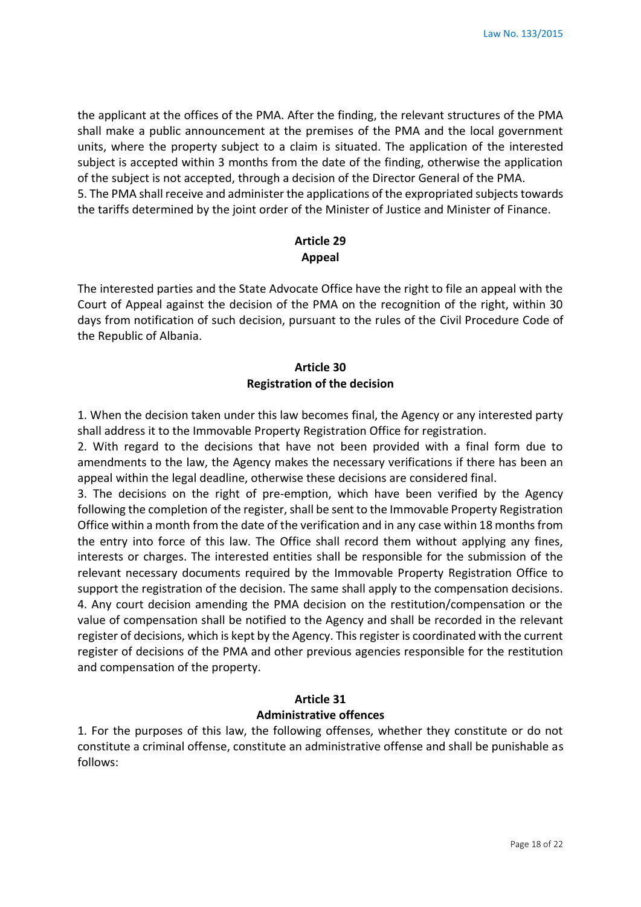the applicant at the offices of the PMA. After the finding, the relevant structures of the PMA shall make a public announcement at the premises of the PMA and the local government units, where the property subject to a claim is situated. The application of the interested subject is accepted within 3 months from the date of the finding, otherwise the application of the subject is not accepted, through a decision of the Director General of the PMA. 5. The PMA shall receive and administer the applications of the expropriated subjects towards the tariffs determined by the joint order of the Minister of Justice and Minister of Finance.

# **Article 29 Appeal**

The interested parties and the State Advocate Office have the right to file an appeal with the Court of Appeal against the decision of the PMA on the recognition of the right, within 30 days from notification of such decision, pursuant to the rules of the Civil Procedure Code of the Republic of Albania.

# **Article 30 Registration of the decision**

1. When the decision taken under this law becomes final, the Agency or any interested party shall address it to the Immovable Property Registration Office for registration.

2. With regard to the decisions that have not been provided with a final form due to amendments to the law, the Agency makes the necessary verifications if there has been an appeal within the legal deadline, otherwise these decisions are considered final.

3. The decisions on the right of pre-emption, which have been verified by the Agency following the completion of the register, shall be sent to the Immovable Property Registration Office within a month from the date of the verification and in any case within 18 months from the entry into force of this law. The Office shall record them without applying any fines, interests or charges. The interested entities shall be responsible for the submission of the relevant necessary documents required by the Immovable Property Registration Office to support the registration of the decision. The same shall apply to the compensation decisions. 4. Any court decision amending the PMA decision on the restitution/compensation or the value of compensation shall be notified to the Agency and shall be recorded in the relevant register of decisions, which is kept by the Agency. This register is coordinated with the current register of decisions of the PMA and other previous agencies responsible for the restitution and compensation of the property.

### **Article 31 Administrative offences**

1. For the purposes of this law, the following offenses, whether they constitute or do not constitute a criminal offense, constitute an administrative offense and shall be punishable as follows: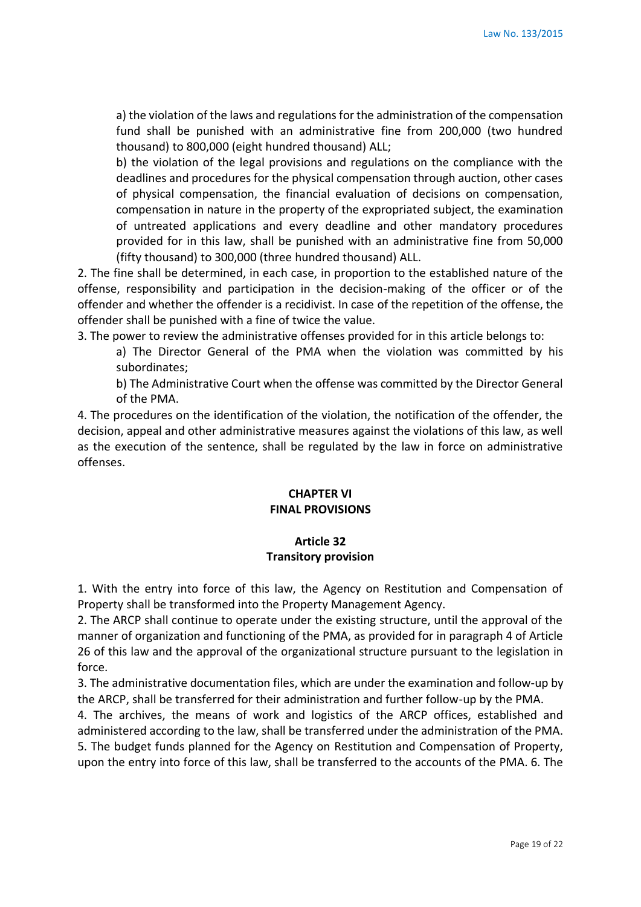a) the violation of the laws and regulations for the administration of the compensation fund shall be punished with an administrative fine from 200,000 (two hundred thousand) to 800,000 (eight hundred thousand) ALL;

b) the violation of the legal provisions and regulations on the compliance with the deadlines and procedures for the physical compensation through auction, other cases of physical compensation, the financial evaluation of decisions on compensation, compensation in nature in the property of the expropriated subject, the examination of untreated applications and every deadline and other mandatory procedures provided for in this law, shall be punished with an administrative fine from 50,000 (fifty thousand) to 300,000 (three hundred thousand) ALL.

2. The fine shall be determined, in each case, in proportion to the established nature of the offense, responsibility and participation in the decision-making of the officer or of the offender and whether the offender is a recidivist. In case of the repetition of the offense, the offender shall be punished with a fine of twice the value.

3. The power to review the administrative offenses provided for in this article belongs to:

a) The Director General of the PMA when the violation was committed by his subordinates;

b) The Administrative Court when the offense was committed by the Director General of the PMA.

4. The procedures on the identification of the violation, the notification of the offender, the decision, appeal and other administrative measures against the violations of this law, as well as the execution of the sentence, shall be regulated by the law in force on administrative offenses.

# **CHAPTER VI FINAL PROVISIONS**

#### **Article 32**

#### **Transitory provision**

1. With the entry into force of this law, the Agency on Restitution and Compensation of Property shall be transformed into the Property Management Agency.

2. The ARCP shall continue to operate under the existing structure, until the approval of the manner of organization and functioning of the PMA, as provided for in paragraph 4 of Article 26 of this law and the approval of the organizational structure pursuant to the legislation in force.

3. The administrative documentation files, which are under the examination and follow-up by the ARCP, shall be transferred for their administration and further follow-up by the PMA.

4. The archives, the means of work and logistics of the ARCP offices, established and administered according to the law, shall be transferred under the administration of the PMA. 5. The budget funds planned for the Agency on Restitution and Compensation of Property, upon the entry into force of this law, shall be transferred to the accounts of the PMA. 6. The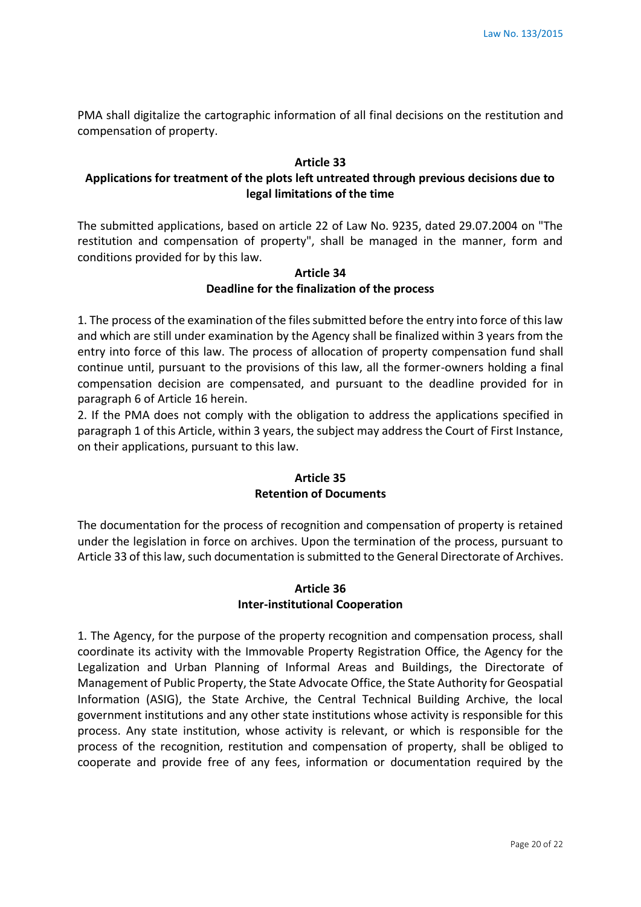PMA shall digitalize the cartographic information of all final decisions on the restitution and compensation of property.

#### **Article 33**

# **Applications for treatment of the plots left untreated through previous decisions due to legal limitations of the time**

The submitted applications, based on article 22 of Law No. 9235, dated 29.07.2004 on "The restitution and compensation of property", shall be managed in the manner, form and conditions provided for by this law.

# **Article 34 Deadline for the finalization of the process**

1. The process of the examination of the files submitted before the entry into force of this law and which are still under examination by the Agency shall be finalized within 3 years from the entry into force of this law. The process of allocation of property compensation fund shall continue until, pursuant to the provisions of this law, all the former-owners holding a final compensation decision are compensated, and pursuant to the deadline provided for in paragraph 6 of Article 16 herein.

2. If the PMA does not comply with the obligation to address the applications specified in paragraph 1 of this Article, within 3 years, the subject may address the Court of First Instance, on their applications, pursuant to this law.

### **Article 35 Retention of Documents**

The documentation for the process of recognition and compensation of property is retained under the legislation in force on archives. Upon the termination of the process, pursuant to Article 33 of this law, such documentation is submitted to the General Directorate of Archives.

### **Article 36 Inter-institutional Cooperation**

1. The Agency, for the purpose of the property recognition and compensation process, shall coordinate its activity with the Immovable Property Registration Office, the Agency for the Legalization and Urban Planning of Informal Areas and Buildings, the Directorate of Management of Public Property, the State Advocate Office, the State Authority for Geospatial Information (ASIG), the State Archive, the Central Technical Building Archive, the local government institutions and any other state institutions whose activity is responsible for this process. Any state institution, whose activity is relevant, or which is responsible for the process of the recognition, restitution and compensation of property, shall be obliged to cooperate and provide free of any fees, information or documentation required by the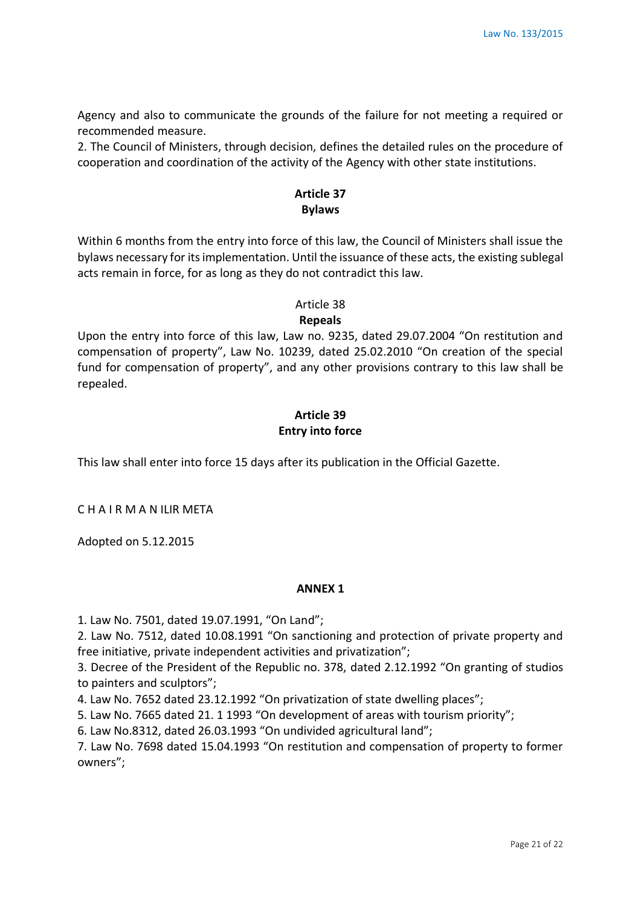Agency and also to communicate the grounds of the failure for not meeting a required or recommended measure.

2. The Council of Ministers, through decision, defines the detailed rules on the procedure of cooperation and coordination of the activity of the Agency with other state institutions.

# **Article 37 Bylaws**

Within 6 months from the entry into force of this law, the Council of Ministers shall issue the bylaws necessary for its implementation. Until the issuance of these acts, the existing sublegal acts remain in force, for as long as they do not contradict this law.

# Article 38

### **Repeals**

Upon the entry into force of this law, Law no. 9235, dated 29.07.2004 "On restitution and compensation of property", Law No. 10239, dated 25.02.2010 "On creation of the special fund for compensation of property", and any other provisions contrary to this law shall be repealed.

# **Article 39 Entry into force**

This law shall enter into force 15 days after its publication in the Official Gazette.

C H A I R M A N ILIR META

Adopted on 5.12.2015

### **ANNEX 1**

1. Law No. 7501, dated 19.07.1991, "On Land";

2. Law No. 7512, dated 10.08.1991 "On sanctioning and protection of private property and free initiative, private independent activities and privatization";

3. Decree of the President of the Republic no. 378, dated 2.12.1992 "On granting of studios to painters and sculptors";

4. Law No. 7652 dated 23.12.1992 "On privatization of state dwelling places";

5. Law No. 7665 dated 21. 1 1993 "On development of areas with tourism priority";

6. Law No.8312, dated 26.03.1993 "On undivided agricultural land";

7. Law No. 7698 dated 15.04.1993 "On restitution and compensation of property to former owners";